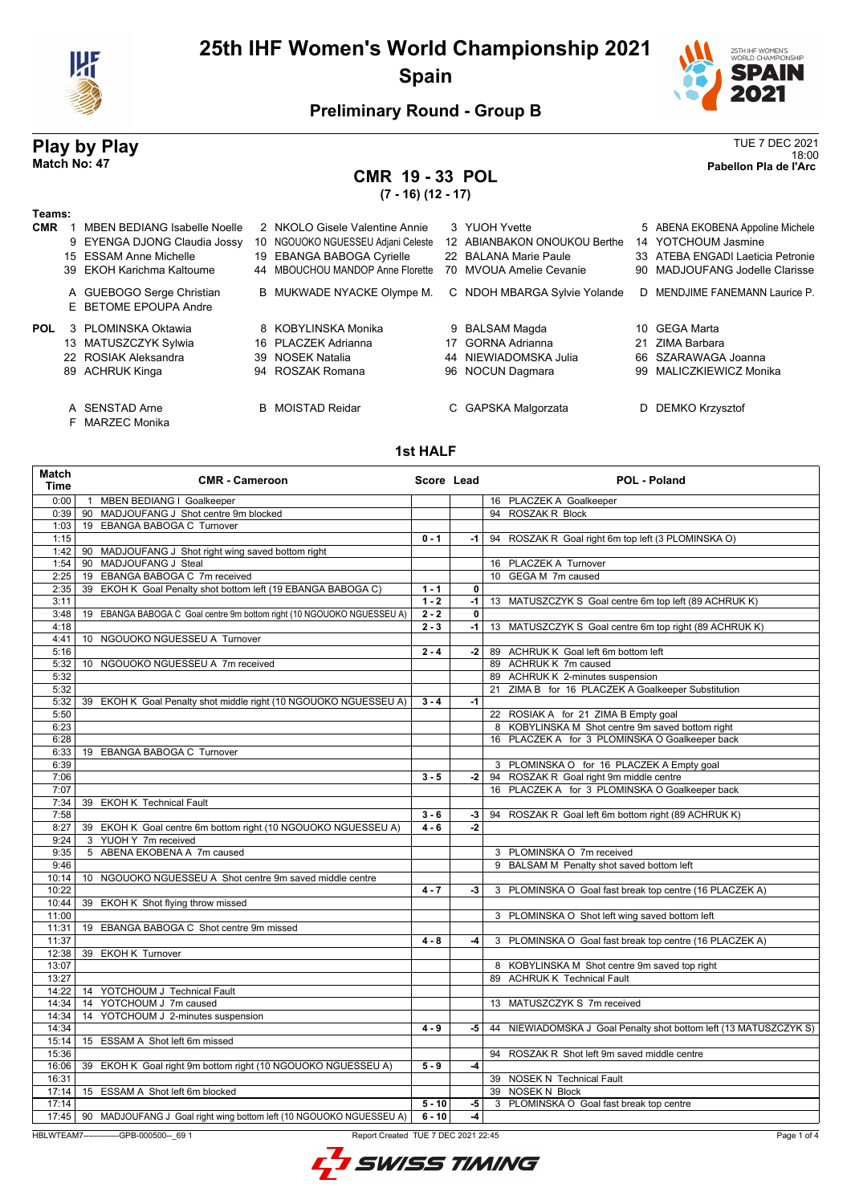



18:00 **Match No: 47 Pabellon Pla de l'Arc** 

## **Preliminary Round - Group B**

# **Play by Play**<br>Match No: 47<br>Pabellon Pla de l'Arc

# **CMR 19 - 33 POL**

**(7 - 16) (12 - 17)**

| Teams:<br><b>CMR</b> | <b>MBEN BEDIANG Isabelle Noelle</b><br>9 EYENGA DJONG Claudia Jossy<br>15 ESSAM Anne Michelle<br>39 EKOH Karichma Kaltoume<br>A GUEBOGO Serge Christian<br>E BETOME EPOUPA Andre | 2 NKOLO Gisele Valentine Annie<br>10 NGOUOKO NGUESSEU Adjani Celeste<br>19 EBANGA BABOGA Cyrielle<br>44 MBOUCHOU MANDOP Anne Florette<br>B MUKWADE NYACKE Olympe M. |    | 3 YUOH Yvette<br>12 ABIANBAKON ONOUKOU Berthe<br>22 BALANA Marie Paule<br>70 MVOUA Amelie Cevanie<br>C NDOH MBARGA Sylvie Yolande |    | 5 ABENA EKOBENA Appoline Michele<br>14 YOTCHOUM Jasmine<br>33 ATEBA ENGADI Laeticia Petronie<br>90 MADJOUFANG Jodelle Clarisse<br>D MENDJIME FANEMANN Laurice P. |
|----------------------|----------------------------------------------------------------------------------------------------------------------------------------------------------------------------------|---------------------------------------------------------------------------------------------------------------------------------------------------------------------|----|-----------------------------------------------------------------------------------------------------------------------------------|----|------------------------------------------------------------------------------------------------------------------------------------------------------------------|
| <b>POL</b>           | 3 PLOMINSKA Oktawia<br>13 MATUSZCZYK Sylwia<br>22 ROSIAK Aleksandra<br>89 ACHRUK Kinga<br>A SENSTAD Arne<br>F MARZEC Monika                                                      | 8 KOBYLINSKA Monika<br>16 PLACZEK Adrianna<br>39 NOSEK Natalia<br>94 ROSZAK Romana<br><b>B</b> MOISTAD Reidar                                                       | 17 | 9 BALSAM Magda<br><b>GORNA Adrianna</b><br>44 NIEWIADOMSKA Julia<br>96 NOCUN Dagmara<br>C GAPSKA Malgorzata                       | 21 | 10 GEGA Marta<br>ZIMA Barbara<br>66 SZARAWAGA Joanna<br>99 MALICZKIEWICZ Monika<br><b>DEMKO Krzysztof</b>                                                        |

#### **1st HALF**

| Match<br><b>Time</b> | <b>CMR - Cameroon</b>                                                       | Score Lead |              | POL - Poland                                                      |
|----------------------|-----------------------------------------------------------------------------|------------|--------------|-------------------------------------------------------------------|
| 0:00                 | 1 MBEN BEDIANG I Goalkeeper                                                 |            |              | 16 PLACZEK A Goalkeeper                                           |
| 0:39                 | 90 MADJOUFANG J Shot centre 9m blocked                                      |            |              | 94 ROSZAK R Block                                                 |
| 1:03                 | 19 EBANGA BABOGA C Turnover                                                 |            |              |                                                                   |
| 1:15                 |                                                                             | $0 - 1$    | -1 l         | 94 ROSZAK R Goal right 6m top left (3 PLOMINSKA O)                |
| 1:42                 | 90 MADJOUFANG J Shot right wing saved bottom right                          |            |              |                                                                   |
| 1:54                 | 90 MADJOUFANG J Steal                                                       |            |              | 16 PLACZEK A Turnover                                             |
| 2:25                 | EBANGA BABOGA C 7m received<br>19                                           |            |              | 10 GEGA M 7m caused                                               |
| 2:35                 | EKOH K Goal Penalty shot bottom left (19 EBANGA BABOGA C)<br>39             | $1 - 1$    | $\mathbf{0}$ |                                                                   |
| 3:11                 |                                                                             | $1 - 2$    | $-1$         | 13 MATUSZCZYK S Goal centre 6m top left (89 ACHRUK K)             |
| 3:48                 | EBANGA BABOGA C Goal centre 9m bottom right (10 NGOUOKO NGUESSEU A)<br>19   | $2 - 2$    | 0            |                                                                   |
| 4:18                 |                                                                             | $2 - 3$    | $-1$         | 13 MATUSZCZYK S Goal centre 6m top right (89 ACHRUK K)            |
| 4:41                 | 10 NGOUOKO NGUESSEU A Turnover                                              |            |              |                                                                   |
| 5:16                 |                                                                             | $2 - 4$    | -2           | 89 ACHRUK K Goal left 6m bottom left                              |
| 5:32                 | 10 NGOUOKO NGUESSEU A 7m received                                           |            |              | 89 ACHRUK K 7m caused                                             |
| 5:32                 |                                                                             |            |              | 89 ACHRUK K 2-minutes suspension                                  |
| 5:32                 |                                                                             |            |              | 21 ZIMA B for 16 PLACZEK A Goalkeeper Substitution                |
| 5:32                 | 39 EKOH K Goal Penalty shot middle right (10 NGOUOKO NGUESSEU A)            | $3 - 4$    | $-1$         |                                                                   |
| 5:50                 |                                                                             |            |              | 22 ROSIAK A for 21 ZIMA B Empty goal                              |
| 6:23                 |                                                                             |            |              | 8 KOBYLINSKA M Shot centre 9m saved bottom right                  |
| 6:28                 |                                                                             |            |              | 16 PLACZEK A for 3 PLOMINSKA O Goalkeeper back                    |
| 6:33                 | 19 EBANGA BABOGA C Turnover                                                 |            |              |                                                                   |
| 6:39                 |                                                                             |            |              | 3 PLOMINSKA O for 16 PLACZEK A Empty goal                         |
| 7:06                 |                                                                             | $3 - 5$    | $-2$         | 94 ROSZAK R Goal right 9m middle centre                           |
| 7:07                 |                                                                             |            |              | 16 PLACZEK A for 3 PLOMINSKA O Goalkeeper back                    |
| 7:34                 | 39 EKOH K Technical Fault                                                   |            |              |                                                                   |
| 7:58                 |                                                                             | $3 - 6$    | $-3$         | 94 ROSZAK R Goal left 6m bottom right (89 ACHRUK K)               |
| 8:27                 | 39 EKOH K Goal centre 6m bottom right (10 NGOUOKO NGUESSEU A)               | $4 - 6$    | -2           |                                                                   |
| 9:24                 | 3 YUOH Y 7m received                                                        |            |              |                                                                   |
| 9:35                 | 5 ABENA EKOBENA A 7m caused                                                 |            |              | 3 PLOMINSKA O 7m received                                         |
| 9:46                 |                                                                             |            |              | 9 BALSAM M Penalty shot saved bottom left                         |
| 10:14                | 10 NGOUOKO NGUESSEU A Shot centre 9m saved middle centre                    |            |              |                                                                   |
| 10:22                |                                                                             | $4 - 7$    | $-3$         | 3 PLOMINSKA O Goal fast break top centre (16 PLACZEK A)           |
| 10:44                | 39 EKOH K Shot flying throw missed                                          |            |              |                                                                   |
| 11:00                |                                                                             |            |              | 3 PLOMINSKA O Shot left wing saved bottom left                    |
| 11:31                | 19 EBANGA BABOGA C Shot centre 9m missed                                    |            |              |                                                                   |
| 11:37                |                                                                             | $4 - 8$    | $-4$         | 3 PLOMINSKA O Goal fast break top centre (16 PLACZEK A)           |
| 12:38                | 39 EKOH K Turnover                                                          |            |              |                                                                   |
| 13:07                |                                                                             |            |              | 8 KOBYLINSKA M Shot centre 9m saved top right                     |
| 13:27                |                                                                             |            |              | 89 ACHRUK K Technical Fault                                       |
| 14:22                | 14 YOTCHOUM J Technical Fault                                               |            |              |                                                                   |
| 14:34                | 14 YOTCHOUM J 7m caused                                                     |            |              | 13 MATUSZCZYK S 7m received                                       |
| 14:34                | 14 YOTCHOUM J 2-minutes suspension                                          |            |              |                                                                   |
| 14:34                |                                                                             | $4 - 9$    | -5           | 44 NIEWIADOMSKA J Goal Penalty shot bottom left (13 MATUSZCZYK S) |
| 15:14                | 15 ESSAM A Shot left 6m missed                                              |            |              |                                                                   |
| 15:36                |                                                                             |            |              | 94 ROSZAK R Shot left 9m saved middle centre                      |
| 16:06                | 39 EKOH K Goal right 9m bottom right (10 NGOUOKO NGUESSEU A)                | $5 - 9$    | $-4$         |                                                                   |
| 16:31                |                                                                             |            |              | 39 NOSEK N Technical Fault                                        |
| 17:14                | 15 ESSAM A Shot left 6m blocked                                             |            |              | 39 NOSEK N Block                                                  |
| 17:14                |                                                                             | $5 - 10$   | $-5$         | 3 PLOMINSKA O Goal fast break top centre                          |
|                      | 17:45   90 MADJOUFANG J Goal right wing bottom left (10 NGOUOKO NGUESSEU A) | $6 - 10$   | $-4$         |                                                                   |
|                      |                                                                             |            |              |                                                                   |

HBLWTEAM7-------------GPB-000500--\_69 1 Report Created TUE 7 DEC 2021 22:45

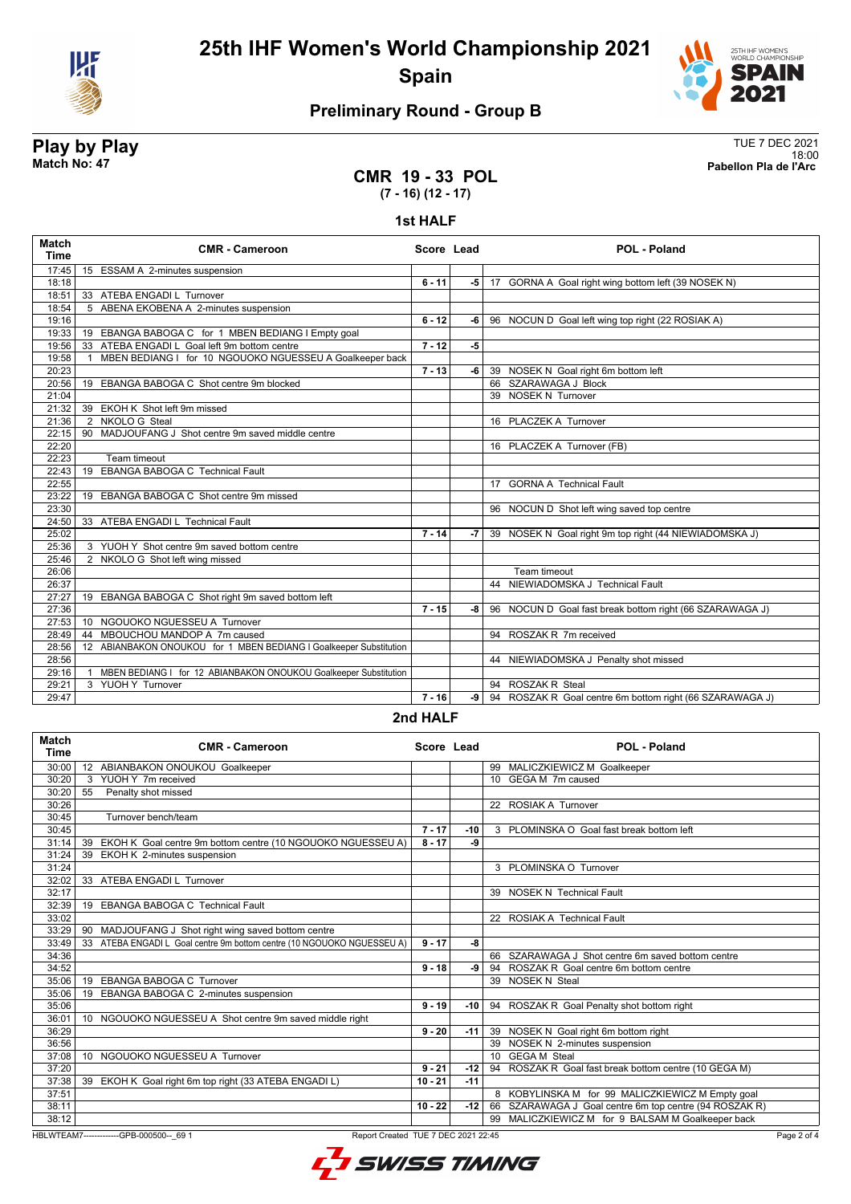



# **Preliminary Round - Group B**

# **Play by Play**<br>Match No: 47<br>Pabellon Pla de l'Arc

18:00 **Match No: 47 Pabellon Pla de l'Arc** 

### **CMR 19 - 33 POL (7 - 16) (12 - 17)**

#### **1st HALF**

| Match<br><b>Time</b> | <b>CMR - Cameroon</b>                                              | Score Lead |      | <b>POL - Poland</b>                                      |
|----------------------|--------------------------------------------------------------------|------------|------|----------------------------------------------------------|
| 17:45                | 15 ESSAM A 2-minutes suspension                                    |            |      |                                                          |
| 18:18                |                                                                    | $6 - 11$   | -5   | 17 GORNA A Goal right wing bottom left (39 NOSEK N)      |
| 18:51                | 33 ATEBA ENGADI L Turnover                                         |            |      |                                                          |
| 18:54                | 5 ABENA EKOBENA A 2-minutes suspension                             |            |      |                                                          |
| 19:16                |                                                                    | $6 - 12$   | -6   | 96 NOCUN D Goal left wing top right (22 ROSIAK A)        |
| 19:33                | 19 EBANGA BABOGA C for 1 MBEN BEDIANG I Empty goal                 |            |      |                                                          |
| 19:56                | 33 ATEBA ENGADI L Goal left 9m bottom centre                       | $7 - 12$   | $-5$ |                                                          |
| 19:58                | MBEN BEDIANG I for 10 NGOUOKO NGUESSEU A Goalkeeper back           |            |      |                                                          |
| 20:23                |                                                                    | $7 - 13$   | -6   | 39 NOSEK N Goal right 6m bottom left                     |
| 20:56                | 19 EBANGA BABOGA C Shot centre 9m blocked                          |            |      | 66 SZARAWAGA J Block                                     |
| 21:04                |                                                                    |            |      | 39 NOSEK N Turnover                                      |
| 21:32                | 39 EKOH K Shot left 9m missed                                      |            |      |                                                          |
| 21:36                | 2 NKOLO G Steal                                                    |            |      | 16 PLACZEK A Turnover                                    |
| 22:15                | 90 MADJOUFANG J Shot centre 9m saved middle centre                 |            |      |                                                          |
| 22:20                |                                                                    |            |      | 16 PLACZEK A Turnover (FB)                               |
| 22:23                | Team timeout                                                       |            |      |                                                          |
| 22:43                | EBANGA BABOGA C Technical Fault<br>19                              |            |      |                                                          |
| 22:55                |                                                                    |            |      | 17 GORNA A Technical Fault                               |
| 23:22                | 19 EBANGA BABOGA C Shot centre 9m missed                           |            |      |                                                          |
| 23:30                |                                                                    |            |      | 96 NOCUN D Shot left wing saved top centre               |
| 24:50                | 33 ATEBA ENGADI L Technical Fault                                  |            |      |                                                          |
| 25:02                |                                                                    | $7 - 14$   | -7   | 39 NOSEK N Goal right 9m top right (44 NIEWIADOMSKA J)   |
| 25:36                | 3 YUOH Y Shot centre 9m saved bottom centre                        |            |      |                                                          |
| 25:46                | 2 NKOLO G Shot left wing missed                                    |            |      |                                                          |
| 26:06                |                                                                    |            |      | <b>Team timeout</b>                                      |
| 26:37                |                                                                    |            |      | 44 NIEWIADOMSKA J Technical Fault                        |
| 27:27                | 19 EBANGA BABOGA C Shot right 9m saved bottom left                 |            |      |                                                          |
| 27:36                |                                                                    | $7 - 15$   | -8   | 96 NOCUN D Goal fast break bottom right (66 SZARAWAGA J) |
| 27:53                | 10 NGOUOKO NGUESSEU A Turnover                                     |            |      |                                                          |
| 28:49                | MBOUCHOU MANDOP A 7m caused<br>44                                  |            |      | 94 ROSZAK R 7m received                                  |
| 28:56                | 12 ABIANBAKON ONOUKOU for 1 MBEN BEDIANG I Goalkeeper Substitution |            |      |                                                          |
| 28:56                |                                                                    |            |      | 44 NIEWIADOMSKA J Penalty shot missed                    |
| 29:16                | MBEN BEDIANG I for 12 ABIANBAKON ONOUKOU Goalkeeper Substitution   |            |      |                                                          |
| 29:21                | 3 YUOH Y Turnover                                                  |            |      | 94 ROSZAK R Steal                                        |
| 29:47                |                                                                    | $7 - 16$   | -9   | 94 ROSZAK R Goal centre 6m bottom right (66 SZARAWAGA J) |
|                      |                                                                    |            |      |                                                          |

#### **2nd HALF**

| Match<br><b>Time</b>                                                                          | <b>CMR - Cameroon</b>                                                   | Score Lead |       |  | <b>POL - Poland</b>                                    |  |
|-----------------------------------------------------------------------------------------------|-------------------------------------------------------------------------|------------|-------|--|--------------------------------------------------------|--|
| 30:00                                                                                         | 12 ABIANBAKON ONOUKOU Goalkeeper                                        |            |       |  | 99 MALICZKIEWICZ M Goalkeeper                          |  |
| 30:20                                                                                         | YUOH Y 7m received<br>3                                                 |            |       |  | 10 GEGA M 7m caused                                    |  |
| 30:20                                                                                         | 55<br>Penalty shot missed                                               |            |       |  |                                                        |  |
| 30:26                                                                                         |                                                                         |            |       |  | 22 ROSIAK A Turnover                                   |  |
| 30:45                                                                                         | Turnover bench/team                                                     |            |       |  |                                                        |  |
| 30:45                                                                                         |                                                                         | $7 - 17$   | -10   |  | 3 PLOMINSKA O Goal fast break bottom left              |  |
| 31:14                                                                                         | EKOH K Goal centre 9m bottom centre (10 NGOUOKO NGUESSEU A)<br>39       | $8 - 17$   | -9    |  |                                                        |  |
| 31:24                                                                                         | EKOH K 2-minutes suspension<br>39                                       |            |       |  |                                                        |  |
| 31:24                                                                                         |                                                                         |            |       |  | 3 PLOMINSKA O Turnover                                 |  |
| 32:02                                                                                         | 33 ATEBA ENGADI L Turnover                                              |            |       |  |                                                        |  |
| 32:17                                                                                         |                                                                         |            |       |  | 39 NOSEK N Technical Fault                             |  |
| 32:39                                                                                         | 19 EBANGA BABOGA C Technical Fault                                      |            |       |  |                                                        |  |
| 33:02                                                                                         |                                                                         |            |       |  | 22 ROSIAK A Technical Fault                            |  |
| 33:29                                                                                         | MADJOUFANG J Shot right wing saved bottom centre<br>90                  |            |       |  |                                                        |  |
| 33:49                                                                                         | 33 ATEBA ENGADI L Goal centre 9m bottom centre (10 NGOUOKO NGUESSEU A)  | $9 - 17$   | -8    |  |                                                        |  |
| 34:36                                                                                         |                                                                         |            |       |  | 66 SZARAWAGA J Shot centre 6m saved bottom centre      |  |
| 34:52                                                                                         |                                                                         | $9 - 18$   | -9    |  | 94 ROSZAK R Goal centre 6m bottom centre               |  |
| 35:06                                                                                         | <b>EBANGA BABOGA C Turnover</b><br>19                                   |            |       |  | 39 NOSEK N Steal                                       |  |
| 35:06                                                                                         | EBANGA BABOGA C 2-minutes suspension<br>19                              |            |       |  |                                                        |  |
| 35:06                                                                                         |                                                                         | $9 - 19$   | -10   |  | 94 ROSZAK R Goal Penalty shot bottom right             |  |
| 36:01                                                                                         | NGOUOKO NGUESSEU A Shot centre 9m saved middle right<br>10 <sup>1</sup> |            |       |  |                                                        |  |
| 36:29                                                                                         |                                                                         | $9 - 20$   | $-11$ |  | 39 NOSEK N Goal right 6m bottom right                  |  |
| 36:56                                                                                         |                                                                         |            |       |  | 39 NOSEK N 2-minutes suspension                        |  |
| 37:08                                                                                         | NGOUOKO NGUESSEU A Turnover<br>10 <sup>1</sup>                          |            |       |  | 10 GEGA M Steal                                        |  |
| 37:20                                                                                         |                                                                         | $9 - 21$   | $-12$ |  | 94 ROSZAK R Goal fast break bottom centre (10 GEGA M)  |  |
| 37:38                                                                                         | 39<br>EKOH K Goal right 6m top right (33 ATEBA ENGADI L)                | $10 - 21$  | $-11$ |  |                                                        |  |
| 37:51                                                                                         |                                                                         |            |       |  | 8 KOBYLINSKA M for 99 MALICZKIEWICZ M Empty goal       |  |
| 38:11                                                                                         |                                                                         | $10 - 22$  | -12 l |  | 66 SZARAWAGA J Goal centre 6m top centre (94 ROSZAK R) |  |
| 38:12                                                                                         |                                                                         |            |       |  | 99 MALICZKIEWICZ M for 9 BALSAM M Goalkeeper back      |  |
| HBLWTEAM7-------------GPB-000500-- 69 1<br>Report Created TUE 7 DEC 2021 22:45<br>Page 2 of 4 |                                                                         |            |       |  |                                                        |  |

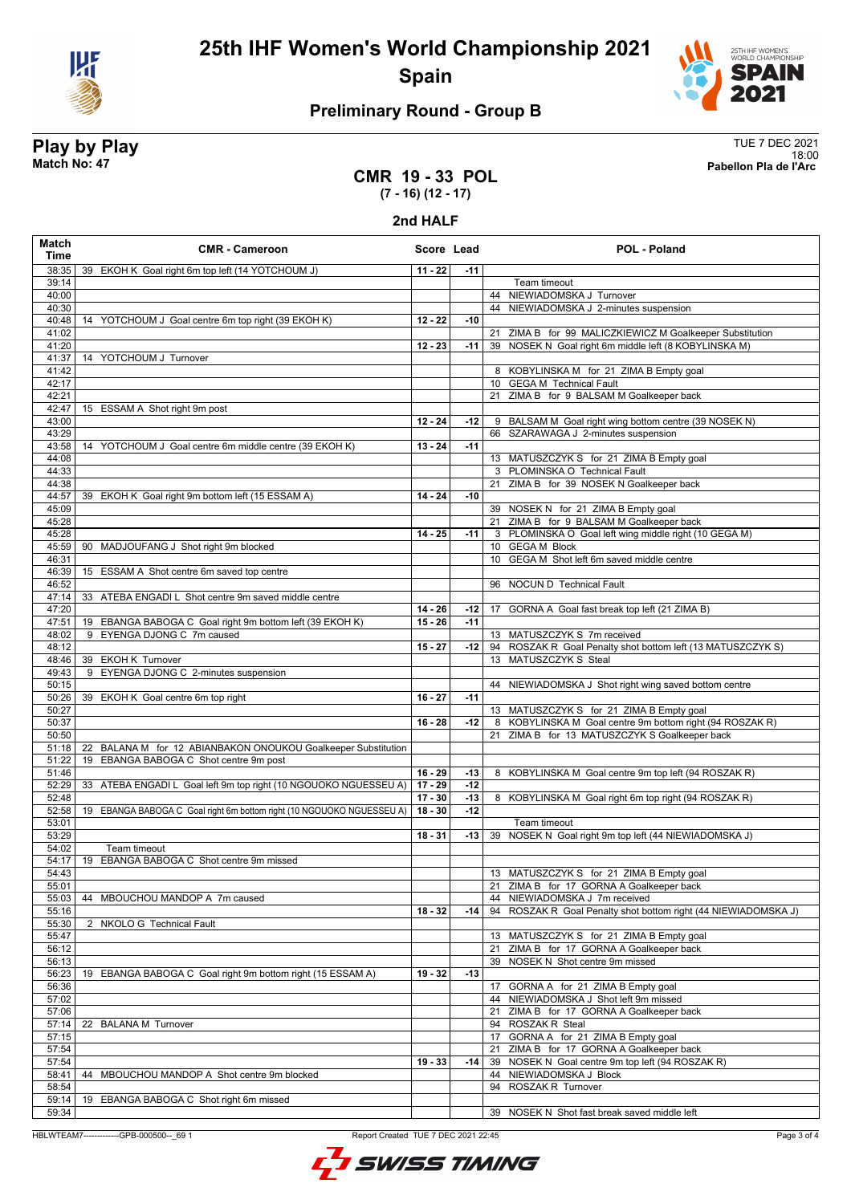



# **Preliminary Round - Group B**

**Play by Play**<br>Match No: 47<br>Pabellon Pla de l'Arc 18:00 **Match No: 47 Pabellon Pla de l'Arc** 

### **CMR 19 - 33 POL (7 - 16) (12 - 17)**

**2nd HALF**

| Match<br>Time  | <b>CMR - Cameroon</b>                                                 |           | Score Lead | POL - Poland                                                                                         |  |
|----------------|-----------------------------------------------------------------------|-----------|------------|------------------------------------------------------------------------------------------------------|--|
| 38:35          | 39 EKOH K Goal right 6m top left (14 YOTCHOUM J)                      | $11 - 22$ | $-11$      |                                                                                                      |  |
| 39:14          |                                                                       |           |            | Team timeout                                                                                         |  |
| 40:00          |                                                                       |           |            | 44 NIEWIADOMSKA J Turnover                                                                           |  |
| 40:30          |                                                                       |           |            | 44 NIEWIADOMSKA J 2-minutes suspension                                                               |  |
| 40:48<br>41:02 | 14 YOTCHOUM J Goal centre 6m top right (39 EKOH K)                    | $12 - 22$ | $-10$      | 21 ZIMA B for 99 MALICZKIEWICZ M Goalkeeper Substitution                                             |  |
| 41:20          |                                                                       | $12 - 23$ | $-11$      | 39 NOSEK N Goal right 6m middle left (8 KOBYLINSKA M)                                                |  |
| 41:37          | 14 YOTCHOUM J Turnover                                                |           |            |                                                                                                      |  |
| 41:42          |                                                                       |           |            | 8 KOBYLINSKA M for 21 ZIMA B Empty goal                                                              |  |
| 42:17          |                                                                       |           |            | 10 GEGA M Technical Fault                                                                            |  |
| 42:21          |                                                                       |           |            | 21 ZIMA B for 9 BALSAM M Goalkeeper back                                                             |  |
| 42:47          | 15 ESSAM A Shot right 9m post                                         |           |            |                                                                                                      |  |
| 43:00          |                                                                       | $12 - 24$ | -12        | 9 BALSAM M Goal right wing bottom centre (39 NOSEK N)                                                |  |
| 43:29<br>43:58 |                                                                       | $13 - 24$ | $-11$      | 66 SZARAWAGA J 2-minutes suspension                                                                  |  |
| 44:08          | 14 YOTCHOUM J Goal centre 6m middle centre (39 EKOH K)                |           |            | 13 MATUSZCZYK S for 21 ZIMA B Empty goal                                                             |  |
| 44:33          |                                                                       |           |            | 3 PLOMINSKA O Technical Fault                                                                        |  |
| 44:38          |                                                                       |           |            | 21 ZIMA B for 39 NOSEK N Goalkeeper back                                                             |  |
| 44:57          | 39 EKOH K Goal right 9m bottom left (15 ESSAM A)                      | $14 - 24$ | -10        |                                                                                                      |  |
| 45:09          |                                                                       |           |            | 39 NOSEK N for 21 ZIMA B Empty goal                                                                  |  |
| 45:28          |                                                                       |           |            | 21 ZIMA B for 9 BALSAM M Goalkeeper back                                                             |  |
| 45:28          |                                                                       | $14 - 25$ | $-11$      | 3 PLOMINSKA O Goal left wing middle right (10 GEGA M)                                                |  |
| 45:59          | 90 MADJOUFANG J Shot right 9m blocked                                 |           |            | 10 GEGA M Block                                                                                      |  |
| 46:31          |                                                                       |           |            | 10 GEGA M Shot left 6m saved middle centre                                                           |  |
| 46:39<br>46:52 | 15 ESSAM A Shot centre 6m saved top centre                            |           |            | 96 NOCUN D Technical Fault                                                                           |  |
| 47:14          | 33 ATEBA ENGADI L Shot centre 9m saved middle centre                  |           |            |                                                                                                      |  |
| 47:20          |                                                                       | $14 - 26$ | $-12$      | 17 GORNA A Goal fast break top left (21 ZIMA B)                                                      |  |
| 47:51          | 19 EBANGA BABOGA C Goal right 9m bottom left (39 EKOH K)              | $15 - 26$ | $-11$      |                                                                                                      |  |
| 48:02          | 9 EYENGA DJONG C 7m caused                                            |           |            | 13 MATUSZCZYK S 7m received                                                                          |  |
| 48:12          |                                                                       | $15 - 27$ | $-12$      | 94 ROSZAK R Goal Penalty shot bottom left (13 MATUSZCZYK S)                                          |  |
| 48:46          | 39 EKOH K Turnover                                                    |           |            | 13 MATUSZCZYK S Steal                                                                                |  |
| 49:43          | 9 EYENGA DJONG C 2-minutes suspension                                 |           |            |                                                                                                      |  |
| 50:15          |                                                                       |           |            | 44 NIEWIADOMSKA J Shot right wing saved bottom centre                                                |  |
| 50:26          | 39 EKOH K Goal centre 6m top right                                    | $16 - 27$ | $-11$      |                                                                                                      |  |
| 50:27<br>50:37 |                                                                       | $16 - 28$ | -12        | 13 MATUSZCZYK S for 21 ZIMA B Empty goal<br>8 KOBYLINSKA M Goal centre 9m bottom right (94 ROSZAK R) |  |
| 50:50          |                                                                       |           |            | 21 ZIMA B for 13 MATUSZCZYK S Goalkeeper back                                                        |  |
| 51:18          | 22 BALANA M for 12 ABIANBAKON ONOUKOU Goalkeeper Substitution         |           |            |                                                                                                      |  |
| 51:22          | 19 EBANGA BABOGA C Shot centre 9m post                                |           |            |                                                                                                      |  |
| 51:46          |                                                                       | $16 - 29$ | $-13$      | 8 KOBYLINSKA M Goal centre 9m top left (94 ROSZAK R)                                                 |  |
| 52:29          | 33 ATEBA ENGADI L Goal left 9m top right (10 NGOUOKO NGUESSEU A)      | $17 - 29$ | $-12$      |                                                                                                      |  |
| 52:48          |                                                                       | $17 - 30$ | $-13$      | 8 KOBYLINSKA M Goal right 6m top right (94 ROSZAK R)                                                 |  |
| 52:58          | 19 EBANGA BABOGA C Goal right 6m bottom right (10 NGOUOKO NGUESSEU A) | $18 - 30$ | $-12$      |                                                                                                      |  |
| 53:01          |                                                                       |           |            | Team timeout                                                                                         |  |
| 53:29<br>54:02 | Team timeout                                                          | 18 - 31   | $-13$      | 39 NOSEK N Goal right 9m top left (44 NIEWIADOMSKA J)                                                |  |
| 54:17          | EBANGA BABOGA C Shot centre 9m missed<br>19                           |           |            |                                                                                                      |  |
| 54:43          |                                                                       |           |            | 13 MATUSZCZYK S for 21 ZIMA B Empty goal                                                             |  |
| 55:01          |                                                                       |           |            | 21 ZIMA B for 17 GORNA A Goalkeeper back                                                             |  |
| 55:03          | 44 MBOUCHOU MANDOP A 7m caused                                        |           |            | 44 NIEWIADOMSKA J 7m received                                                                        |  |
| 55:16          |                                                                       | $18 - 32$ | -14        | 94 ROSZAK R Goal Penalty shot bottom right (44 NIEWIADOMSKA J)                                       |  |
| 55:30          | 2 NKOLO G Technical Fault                                             |           |            |                                                                                                      |  |
| 55:47          |                                                                       |           |            | 13 MATUSZCZYK S for 21 ZIMA B Empty goal                                                             |  |
| 56:12          |                                                                       |           |            | 21 ZIMA B for 17 GORNA A Goalkeeper back                                                             |  |
| 56:13          |                                                                       |           |            | 39 NOSEK N Shot centre 9m missed                                                                     |  |
| 56:23<br>56:36 | 19 EBANGA BABOGA C Goal right 9m bottom right (15 ESSAM A)            | $19 - 32$ | $-13$      |                                                                                                      |  |
| 57:02          |                                                                       |           |            | 17 GORNA A for 21 ZIMA B Empty goal<br>44 NIEWIADOMSKA J Shot left 9m missed                         |  |
| 57:06          |                                                                       |           |            | 21 ZIMA B for 17 GORNA A Goalkeeper back                                                             |  |
| 57:14          | 22 BALANA M Turnover                                                  |           |            | 94 ROSZAK R Steal                                                                                    |  |
| 57:15          |                                                                       |           |            | 17 GORNA A for 21 ZIMA B Empty goal                                                                  |  |
| 57:54          |                                                                       |           |            | 21 ZIMA B for 17 GORNA A Goalkeeper back                                                             |  |
| 57:54          |                                                                       | $19 - 33$ | $-14$      | 39 NOSEK N Goal centre 9m top left (94 ROSZAK R)                                                     |  |
| 58:41          | 44<br>MBOUCHOU MANDOP A Shot centre 9m blocked                        |           |            | 44 NIEWIADOMSKA J Block                                                                              |  |
| 58:54          |                                                                       |           |            | 94 ROSZAK R Turnover                                                                                 |  |
| 59:14          | 19 EBANGA BABOGA C Shot right 6m missed                               |           |            |                                                                                                      |  |
| 59:34          |                                                                       |           |            | 39 NOSEK N Shot fast break saved middle left                                                         |  |

HBLWTEAM7-------------GPB-000500--\_69 1 Report Created TUE 7 DEC 2021 22:45



Page 3 of 4